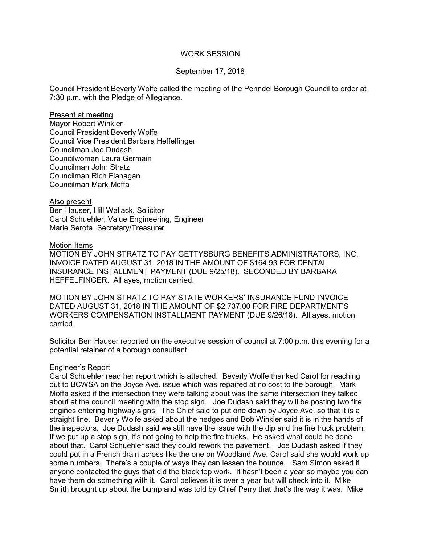# WORK SESSION

## September 17, 2018

Council President Beverly Wolfe called the meeting of the Penndel Borough Council to order at 7:30 p.m. with the Pledge of Allegiance.

Present at meeting Mayor Robert Winkler Council President Beverly Wolfe Council Vice President Barbara Heffelfinger Councilman Joe Dudash Councilwoman Laura Germain Councilman John Stratz Councilman Rich Flanagan Councilman Mark Moffa

#### Also present

Ben Hauser, Hill Wallack, Solicitor Carol Schuehler, Value Engineering, Engineer Marie Serota, Secretary/Treasurer

#### Motion Items

MOTION BY JOHN STRATZ TO PAY GETTYSBURG BENEFITS ADMINISTRATORS, INC. INVOICE DATED AUGUST 31, 2018 IN THE AMOUNT OF \$164.93 FOR DENTAL INSURANCE INSTALLMENT PAYMENT (DUE 9/25/18). SECONDED BY BARBARA HEFFELFINGER. All ayes, motion carried.

MOTION BY JOHN STRATZ TO PAY STATE WORKERS' INSURANCE FUND INVOICE DATED AUGUST 31, 2018 IN THE AMOUNT OF \$2,737.00 FOR FIRE DEPARTMENT'S WORKERS COMPENSATION INSTALLMENT PAYMENT (DUE 9/26/18). All ayes, motion carried.

Solicitor Ben Hauser reported on the executive session of council at 7:00 p.m. this evening for a potential retainer of a borough consultant.

## Engineer's Report

Carol Schuehler read her report which is attached. Beverly Wolfe thanked Carol for reaching out to BCWSA on the Joyce Ave. issue which was repaired at no cost to the borough. Mark Moffa asked if the intersection they were talking about was the same intersection they talked about at the council meeting with the stop sign. Joe Dudash said they will be posting two fire engines entering highway signs. The Chief said to put one down by Joyce Ave. so that it is a straight line. Beverly Wolfe asked about the hedges and Bob Winkler said it is in the hands of the inspectors. Joe Dudash said we still have the issue with the dip and the fire truck problem. If we put up a stop sign, it's not going to help the fire trucks. He asked what could be done about that. Carol Schuehler said they could rework the pavement. Joe Dudash asked if they could put in a French drain across like the one on Woodland Ave. Carol said she would work up some numbers. There's a couple of ways they can lessen the bounce. Sam Simon asked if anyone contacted the guys that did the black top work. It hasn't been a year so maybe you can have them do something with it. Carol believes it is over a year but will check into it. Mike Smith brought up about the bump and was told by Chief Perry that that's the way it was. Mike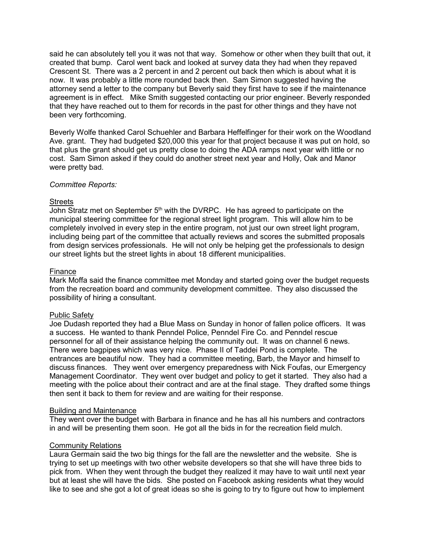said he can absolutely tell you it was not that way. Somehow or other when they built that out, it created that bump. Carol went back and looked at survey data they had when they repaved Crescent St. There was a 2 percent in and 2 percent out back then which is about what it is now. It was probably a little more rounded back then. Sam Simon suggested having the attorney send a letter to the company but Beverly said they first have to see if the maintenance agreement is in effect. Mike Smith suggested contacting our prior engineer. Beverly responded that they have reached out to them for records in the past for other things and they have not been very forthcoming.

Beverly Wolfe thanked Carol Schuehler and Barbara Heffelfinger for their work on the Woodland Ave. grant. They had budgeted \$20,000 this year for that project because it was put on hold, so that plus the grant should get us pretty close to doing the ADA ramps next year with little or no cost. Sam Simon asked if they could do another street next year and Holly, Oak and Manor were pretty bad.

# *Committee Reports:*

# **Streets**

John Stratz met on September  $5<sup>th</sup>$  with the DVRPC. He has agreed to participate on the municipal steering committee for the regional street light program. This will allow him to be completely involved in every step in the entire program, not just our own street light program, including being part of the committee that actually reviews and scores the submitted proposals from design services professionals. He will not only be helping get the professionals to design our street lights but the street lights in about 18 different municipalities.

# Finance

Mark Moffa said the finance committee met Monday and started going over the budget requests from the recreation board and community development committee. They also discussed the possibility of hiring a consultant.

## Public Safety

Joe Dudash reported they had a Blue Mass on Sunday in honor of fallen police officers. It was a success. He wanted to thank Penndel Police, Penndel Fire Co. and Penndel rescue personnel for all of their assistance helping the community out. It was on channel 6 news. There were bagpipes which was very nice. Phase II of Taddei Pond is complete. The entrances are beautiful now. They had a committee meeting, Barb, the Mayor and himself to discuss finances. They went over emergency preparedness with Nick Foufas, our Emergency Management Coordinator. They went over budget and policy to get it started. They also had a meeting with the police about their contract and are at the final stage. They drafted some things then sent it back to them for review and are waiting for their response.

## Building and Maintenance

They went over the budget with Barbara in finance and he has all his numbers and contractors in and will be presenting them soon. He got all the bids in for the recreation field mulch.

## Community Relations

Laura Germain said the two big things for the fall are the newsletter and the website. She is trying to set up meetings with two other website developers so that she will have three bids to pick from. When they went through the budget they realized it may have to wait until next year but at least she will have the bids. She posted on Facebook asking residents what they would like to see and she got a lot of great ideas so she is going to try to figure out how to implement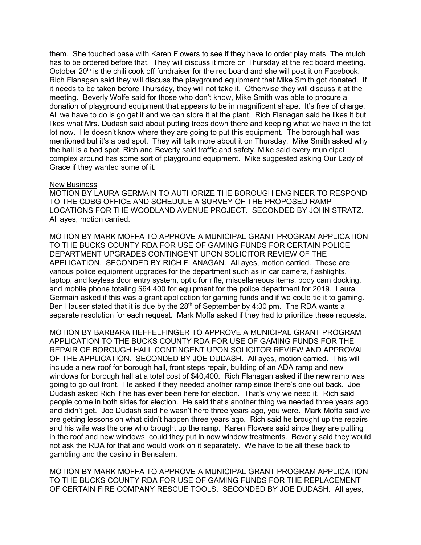them. She touched base with Karen Flowers to see if they have to order play mats. The mulch has to be ordered before that. They will discuss it more on Thursday at the rec board meeting. October  $20<sup>th</sup>$  is the chili cook off fundraiser for the rec board and she will post it on Facebook. Rich Flanagan said they will discuss the playground equipment that Mike Smith got donated. If it needs to be taken before Thursday, they will not take it. Otherwise they will discuss it at the meeting. Beverly Wolfe said for those who don't know, Mike Smith was able to procure a donation of playground equipment that appears to be in magnificent shape. It's free of charge. All we have to do is go get it and we can store it at the plant. Rich Flanagan said he likes it but likes what Mrs. Dudash said about putting trees down there and keeping what we have in the tot lot now. He doesn't know where they are going to put this equipment. The borough hall was mentioned but it's a bad spot. They will talk more about it on Thursday. Mike Smith asked why the hall is a bad spot. Rich and Beverly said traffic and safety. Mike said every municipal complex around has some sort of playground equipment. Mike suggested asking Our Lady of Grace if they wanted some of it.

#### New Business

MOTION BY LAURA GERMAIN TO AUTHORIZE THE BOROUGH ENGINEER TO RESPOND TO THE CDBG OFFICE AND SCHEDULE A SURVEY OF THE PROPOSED RAMP LOCATIONS FOR THE WOODLAND AVENUE PROJECT. SECONDED BY JOHN STRATZ. All ayes, motion carried.

MOTION BY MARK MOFFA TO APPROVE A MUNICIPAL GRANT PROGRAM APPLICATION TO THE BUCKS COUNTY RDA FOR USE OF GAMING FUNDS FOR CERTAIN POLICE DEPARTMENT UPGRADES CONTINGENT UPON SOLICITOR REVIEW OF THE APPLICATION. SECONDED BY RICH FLANAGAN. All ayes, motion carried. These are various police equipment upgrades for the department such as in car camera, flashlights, laptop, and keyless door entry system, optic for rifle, miscellaneous items, body cam docking, and mobile phone totaling \$64,400 for equipment for the police department for 2019. Laura Germain asked if this was a grant application for gaming funds and if we could tie it to gaming. Ben Hauser stated that it is due by the 28<sup>th</sup> of September by 4:30 pm. The RDA wants a separate resolution for each request. Mark Moffa asked if they had to prioritize these requests.

MOTION BY BARBARA HEFFELFINGER TO APPROVE A MUNICIPAL GRANT PROGRAM APPLICATION TO THE BUCKS COUNTY RDA FOR USE OF GAMING FUNDS FOR THE REPAIR OF BOROUGH HALL CONTINGENT UPON SOLICITOR REVIEW AND APPROVAL OF THE APPLICATION. SECONDED BY JOE DUDASH. All ayes, motion carried. This will include a new roof for borough hall, front steps repair, building of an ADA ramp and new windows for borough hall at a total cost of \$40,400. Rich Flanagan asked if the new ramp was going to go out front. He asked if they needed another ramp since there's one out back. Joe Dudash asked Rich if he has ever been here for election. That's why we need it. Rich said people come in both sides for election. He said that's another thing we needed three years ago and didn't get. Joe Dudash said he wasn't here three years ago, you were. Mark Moffa said we are getting lessons on what didn't happen three years ago. Rich said he brought up the repairs and his wife was the one who brought up the ramp. Karen Flowers said since they are putting in the roof and new windows, could they put in new window treatments. Beverly said they would not ask the RDA for that and would work on it separately. We have to tie all these back to gambling and the casino in Bensalem.

MOTION BY MARK MOFFA TO APPROVE A MUNICIPAL GRANT PROGRAM APPLICATION TO THE BUCKS COUNTY RDA FOR USE OF GAMING FUNDS FOR THE REPLACEMENT OF CERTAIN FIRE COMPANY RESCUE TOOLS. SECONDED BY JOE DUDASH. All ayes,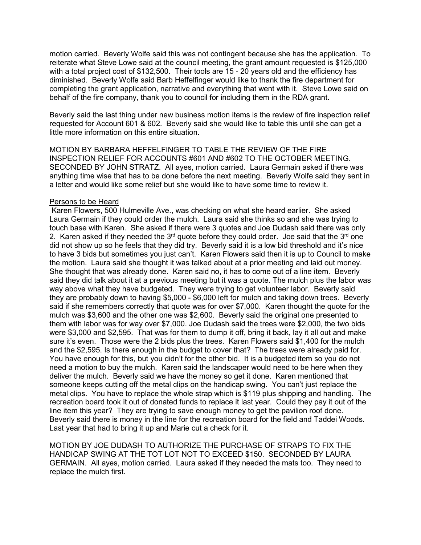motion carried. Beverly Wolfe said this was not contingent because she has the application. To reiterate what Steve Lowe said at the council meeting, the grant amount requested is \$125,000 with a total project cost of \$132,500. Their tools are 15 - 20 years old and the efficiency has diminished. Beverly Wolfe said Barb Heffelfinger would like to thank the fire department for completing the grant application, narrative and everything that went with it. Steve Lowe said on behalf of the fire company, thank you to council for including them in the RDA grant.

Beverly said the last thing under new business motion items is the review of fire inspection relief requested for Account 601 & 602. Beverly said she would like to table this until she can get a little more information on this entire situation.

MOTION BY BARBARA HEFFELFINGER TO TABLE THE REVIEW OF THE FIRE INSPECTION RELIEF FOR ACCOUNTS #601 AND #602 TO THE OCTOBER MEETING. SECONDED BY JOHN STRATZ. All ayes, motion carried. Laura Germain asked if there was anything time wise that has to be done before the next meeting. Beverly Wolfe said they sent in a letter and would like some relief but she would like to have some time to review it.

## Persons to be Heard

 Karen Flowers, 500 Hulmeville Ave., was checking on what she heard earlier. She asked Laura Germain if they could order the mulch. Laura said she thinks so and she was trying to touch base with Karen. She asked if there were 3 quotes and Joe Dudash said there was only 2. Karen asked if they needed the  $3<sup>rd</sup>$  quote before they could order. Joe said that the  $3<sup>rd</sup>$  one did not show up so he feels that they did try. Beverly said it is a low bid threshold and it's nice to have 3 bids but sometimes you just can't. Karen Flowers said then it is up to Council to make the motion. Laura said she thought it was talked about at a prior meeting and laid out money. She thought that was already done. Karen said no, it has to come out of a line item. Beverly said they did talk about it at a previous meeting but it was a quote. The mulch plus the labor was way above what they have budgeted. They were trying to get volunteer labor. Beverly said they are probably down to having \$5,000 - \$6,000 left for mulch and taking down trees. Beverly said if she remembers correctly that quote was for over \$7,000. Karen thought the quote for the mulch was \$3,600 and the other one was \$2,600. Beverly said the original one presented to them with labor was for way over \$7,000. Joe Dudash said the trees were \$2,000, the two bids were \$3,000 and \$2,595. That was for them to dump it off, bring it back, lay it all out and make sure it's even. Those were the 2 bids plus the trees. Karen Flowers said \$1,400 for the mulch and the \$2,595. Is there enough in the budget to cover that? The trees were already paid for. You have enough for this, but you didn't for the other bid. It is a budgeted item so you do not need a motion to buy the mulch. Karen said the landscaper would need to be here when they deliver the mulch. Beverly said we have the money so get it done. Karen mentioned that someone keeps cutting off the metal clips on the handicap swing. You can't just replace the metal clips. You have to replace the whole strap which is \$119 plus shipping and handling. The recreation board took it out of donated funds to replace it last year. Could they pay it out of the line item this year? They are trying to save enough money to get the pavilion roof done. Beverly said there is money in the line for the recreation board for the field and Taddei Woods. Last year that had to bring it up and Marie cut a check for it.

MOTION BY JOE DUDASH TO AUTHORIZE THE PURCHASE OF STRAPS TO FIX THE HANDICAP SWING AT THE TOT LOT NOT TO EXCEED \$150. SECONDED BY LAURA GERMAIN. All ayes, motion carried. Laura asked if they needed the mats too. They need to replace the mulch first.